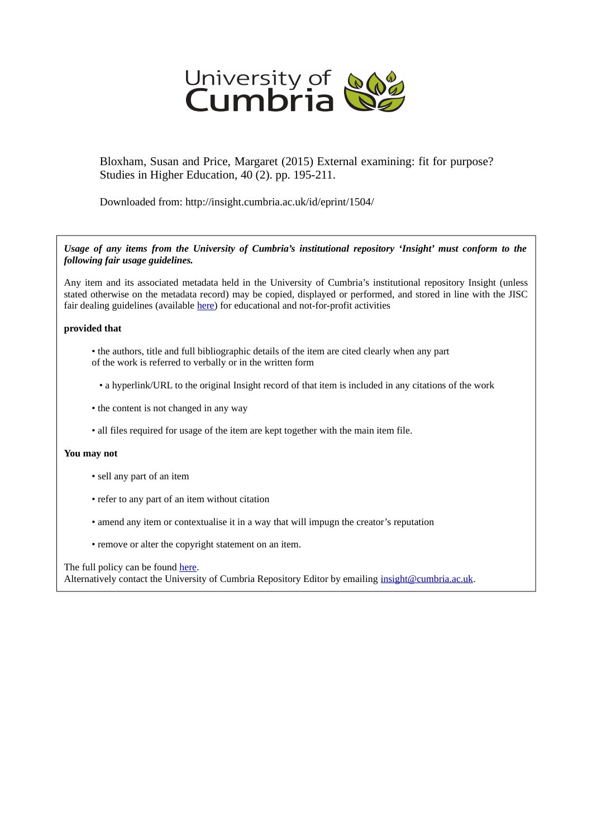

Bloxham, Susan and Price, Margaret (2015) External examining: fit for purpose? Studies in Higher Education, 40 (2). pp. 195-211.

Downloaded from: http://insight.cumbria.ac.uk/id/eprint/1504/

*Usage of any items from the University of Cumbria's institutional repository 'Insight' must conform to the following fair usage guidelines.*

Any item and its associated metadata held in the University of Cumbria's institutional repository Insight (unless stated otherwise on the metadata record) may be copied, displayed or performed, and stored in line with the JISC fair dealing guidelines (available [here\)](http://www.ukoln.ac.uk/services/elib/papers/pa/fair/) for educational and not-for-profit activities

# **provided that**

- the authors, title and full bibliographic details of the item are cited clearly when any part of the work is referred to verbally or in the written form
	- a hyperlink/URL to the original Insight record of that item is included in any citations of the work
- the content is not changed in any way
- all files required for usage of the item are kept together with the main item file.

# **You may not**

- sell any part of an item
- refer to any part of an item without citation
- amend any item or contextualise it in a way that will impugn the creator's reputation
- remove or alter the copyright statement on an item.

The full policy can be found [here.](http://insight.cumbria.ac.uk/legal.html#section5)

Alternatively contact the University of Cumbria Repository Editor by emailing [insight@cumbria.ac.uk.](mailto:insight@cumbria.ac.uk)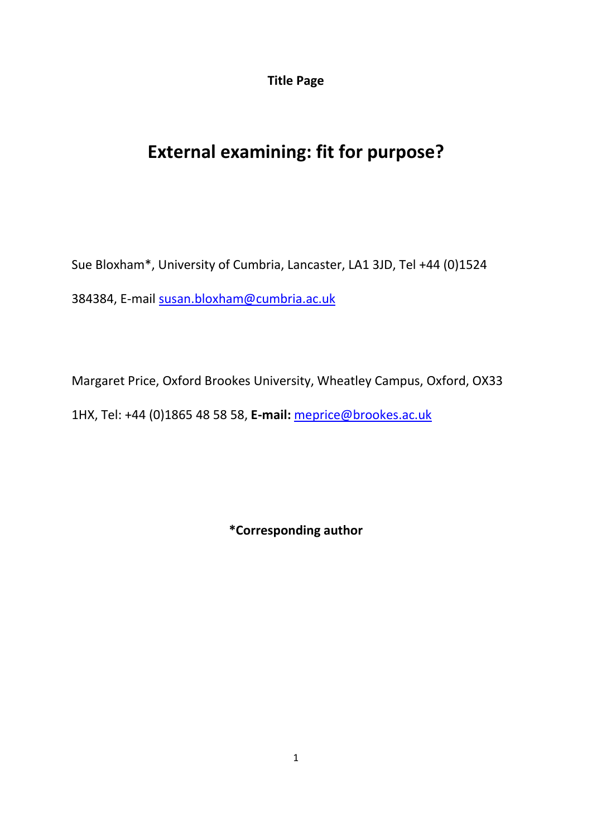**Title Page**

# **External examining: fit for purpose?**

Sue Bloxham\*, University of Cumbria, Lancaster, LA1 3JD, Tel +44 (0)1524 384384, E-mail [susan.bloxham@cumbria.ac.uk](mailto:susan.bloxham@cumbria.ac.uk)

Margaret Price, Oxford Brookes University, Wheatley Campus, Oxford, OX33 1HX, Tel: +44 (0)1865 48 58 58, **E-mail:** [meprice@brookes.ac.uk](mailto:meprice@brookes.ac.uk)

**\*Corresponding author**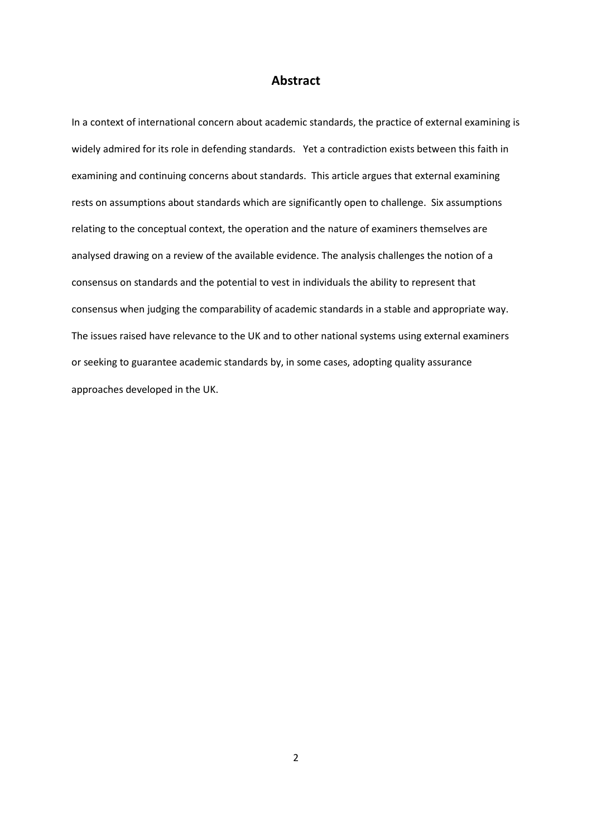# **Abstract**

In a context of international concern about academic standards, the practice of external examining is widely admired for its role in defending standards. Yet a contradiction exists between this faith in examining and continuing concerns about standards. This article argues that external examining rests on assumptions about standards which are significantly open to challenge. Six assumptions relating to the conceptual context, the operation and the nature of examiners themselves are analysed drawing on a review of the available evidence. The analysis challenges the notion of a consensus on standards and the potential to vest in individuals the ability to represent that consensus when judging the comparability of academic standards in a stable and appropriate way. The issues raised have relevance to the UK and to other national systems using external examiners or seeking to guarantee academic standards by, in some cases, adopting quality assurance approaches developed in the UK.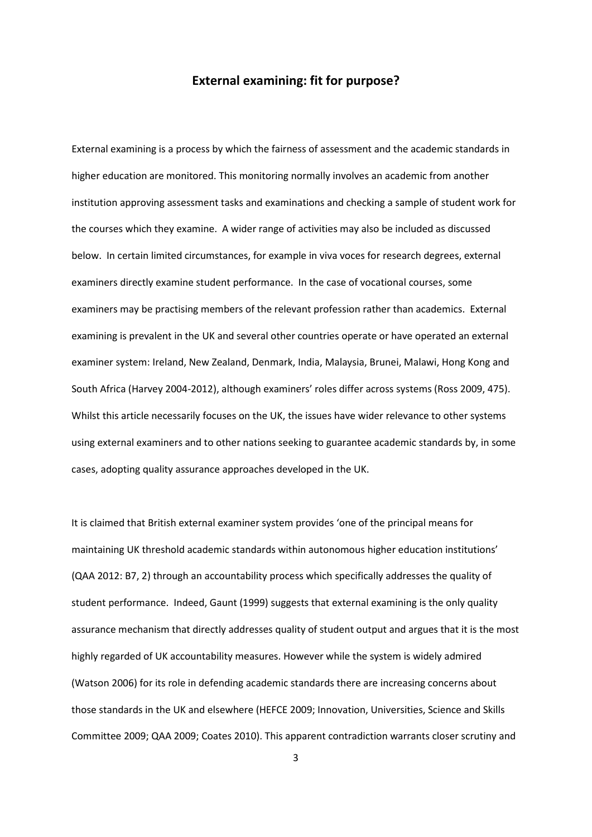# **External examining: fit for purpose?**

External examining is a process by which the fairness of assessment and the academic standards in higher education are monitored. This monitoring normally involves an academic from another institution approving assessment tasks and examinations and checking a sample of student work for the courses which they examine. A wider range of activities may also be included as discussed below. In certain limited circumstances, for example in viva voces for research degrees, external examiners directly examine student performance. In the case of vocational courses, some examiners may be practising members of the relevant profession rather than academics. External examining is prevalent in the UK and several other countries operate or have operated an external examiner system: Ireland, New Zealand, Denmark, India, Malaysia, Brunei, Malawi, Hong Kong and South Africa (Harvey 2004-2012), although examiners' roles differ across systems (Ross 2009, 475). Whilst this article necessarily focuses on the UK, the issues have wider relevance to other systems using external examiners and to other nations seeking to guarantee academic standards by, in some cases, adopting quality assurance approaches developed in the UK.

It is claimed that British external examiner system provides 'one of the principal means for maintaining UK threshold academic standards within autonomous higher education institutions' (QAA 2012: B7, 2) through an accountability process which specifically addresses the quality of student performance. Indeed, Gaunt (1999) suggests that external examining is the only quality assurance mechanism that directly addresses quality of student output and argues that it is the most highly regarded of UK accountability measures. However while the system is widely admired (Watson 2006) for its role in defending academic standards there are increasing concerns about those standards in the UK and elsewhere (HEFCE 2009; Innovation, Universities, Science and Skills Committee 2009; QAA 2009; Coates 2010). This apparent contradiction warrants closer scrutiny and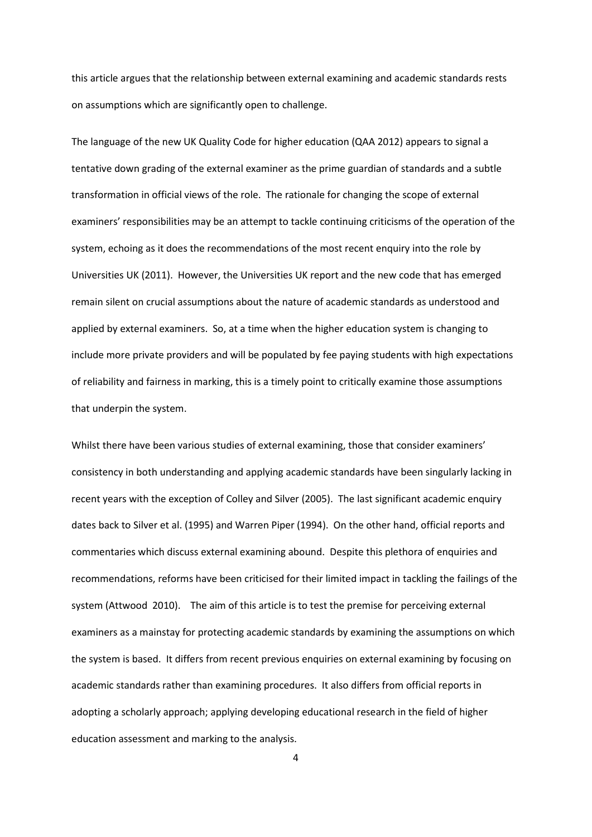this article argues that the relationship between external examining and academic standards rests on assumptions which are significantly open to challenge.

The language of the new UK Quality Code for higher education (QAA 2012) appears to signal a tentative down grading of the external examiner as the prime guardian of standards and a subtle transformation in official views of the role. The rationale for changing the scope of external examiners' responsibilities may be an attempt to tackle continuing criticisms of the operation of the system, echoing as it does the recommendations of the most recent enquiry into the role by Universities UK (2011). However, the Universities UK report and the new code that has emerged remain silent on crucial assumptions about the nature of academic standards as understood and applied by external examiners. So, at a time when the higher education system is changing to include more private providers and will be populated by fee paying students with high expectations of reliability and fairness in marking, this is a timely point to critically examine those assumptions that underpin the system.

Whilst there have been various studies of external examining, those that consider examiners' consistency in both understanding and applying academic standards have been singularly lacking in recent years with the exception of Colley and Silver (2005). The last significant academic enquiry dates back to Silver et al. (1995) and Warren Piper (1994). On the other hand, official reports and commentaries which discuss external examining abound. Despite this plethora of enquiries and recommendations, reforms have been criticised for their limited impact in tackling the failings of the system (Attwood 2010). The aim of this article is to test the premise for perceiving external examiners as a mainstay for protecting academic standards by examining the assumptions on which the system is based. It differs from recent previous enquiries on external examining by focusing on academic standards rather than examining procedures. It also differs from official reports in adopting a scholarly approach; applying developing educational research in the field of higher education assessment and marking to the analysis.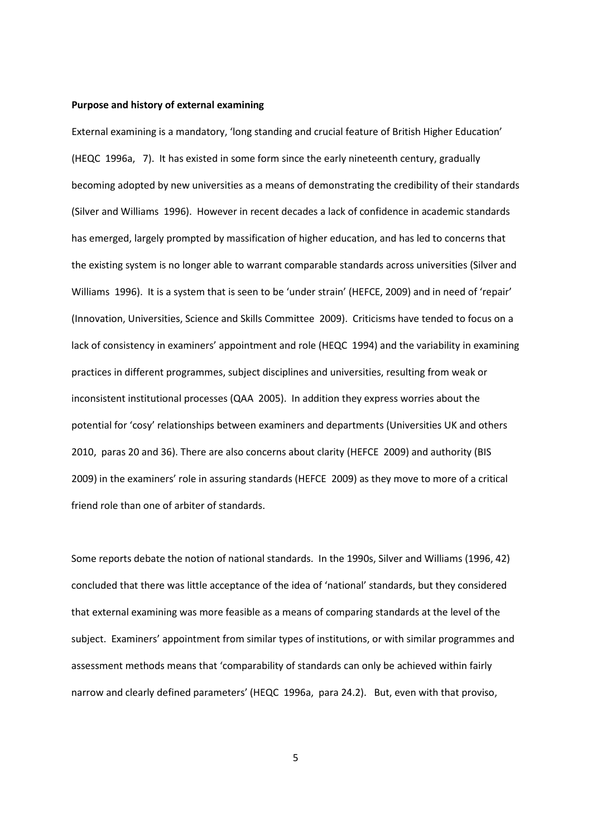#### **Purpose and history of external examining**

External examining is a mandatory, 'long standing and crucial feature of British Higher Education' (HEQC 1996a, 7). It has existed in some form since the early nineteenth century, gradually becoming adopted by new universities as a means of demonstrating the credibility of their standards (Silver and Williams 1996). However in recent decades a lack of confidence in academic standards has emerged, largely prompted by massification of higher education, and has led to concerns that the existing system is no longer able to warrant comparable standards across universities (Silver and Williams 1996). It is a system that is seen to be 'under strain' (HEFCE, 2009) and in need of 'repair' (Innovation, Universities, Science and Skills Committee 2009). Criticisms have tended to focus on a lack of consistency in examiners' appointment and role (HEQC 1994) and the variability in examining practices in different programmes, subject disciplines and universities, resulting from weak or inconsistent institutional processes (QAA 2005). In addition they express worries about the potential for 'cosy' relationships between examiners and departments (Universities UK and others 2010, paras 20 and 36). There are also concerns about clarity (HEFCE 2009) and authority (BIS 2009) in the examiners' role in assuring standards (HEFCE 2009) as they move to more of a critical friend role than one of arbiter of standards.

Some reports debate the notion of national standards. In the 1990s, Silver and Williams (1996, 42) concluded that there was little acceptance of the idea of 'national' standards, but they considered that external examining was more feasible as a means of comparing standards at the level of the subject. Examiners' appointment from similar types of institutions, or with similar programmes and assessment methods means that 'comparability of standards can only be achieved within fairly narrow and clearly defined parameters' (HEQC 1996a, para 24.2). But, even with that proviso,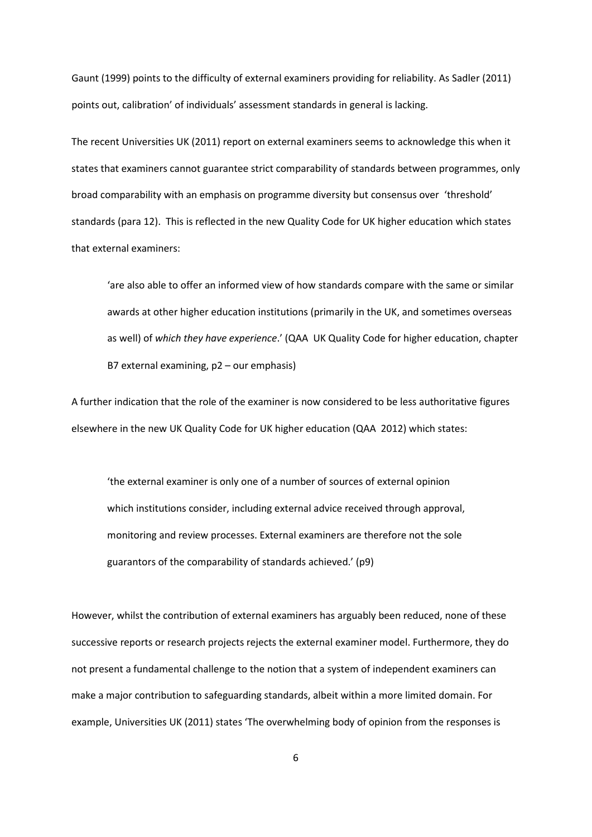Gaunt (1999) points to the difficulty of external examiners providing for reliability. As Sadler (2011) points out, calibration' of individuals' assessment standards in general is lacking.

The recent Universities UK (2011) report on external examiners seems to acknowledge this when it states that examiners cannot guarantee strict comparability of standards between programmes, only broad comparability with an emphasis on programme diversity but consensus over 'threshold' standards (para 12). This is reflected in the new Quality Code for UK higher education which states that external examiners:

'are also able to offer an informed view of how standards compare with the same or similar awards at other higher education institutions (primarily in the UK, and sometimes overseas as well) of *which they have experience*.' (QAA UK Quality Code for higher education, chapter B7 external examining, p2 – our emphasis)

A further indication that the role of the examiner is now considered to be less authoritative figures elsewhere in the new UK Quality Code for UK higher education (QAA 2012) which states:

'the external examiner is only one of a number of sources of external opinion which institutions consider, including external advice received through approval, monitoring and review processes. External examiners are therefore not the sole guarantors of the comparability of standards achieved.' (p9)

However, whilst the contribution of external examiners has arguably been reduced, none of these successive reports or research projects rejects the external examiner model. Furthermore, they do not present a fundamental challenge to the notion that a system of independent examiners can make a major contribution to safeguarding standards, albeit within a more limited domain. For example, Universities UK (2011) states 'The overwhelming body of opinion from the responses is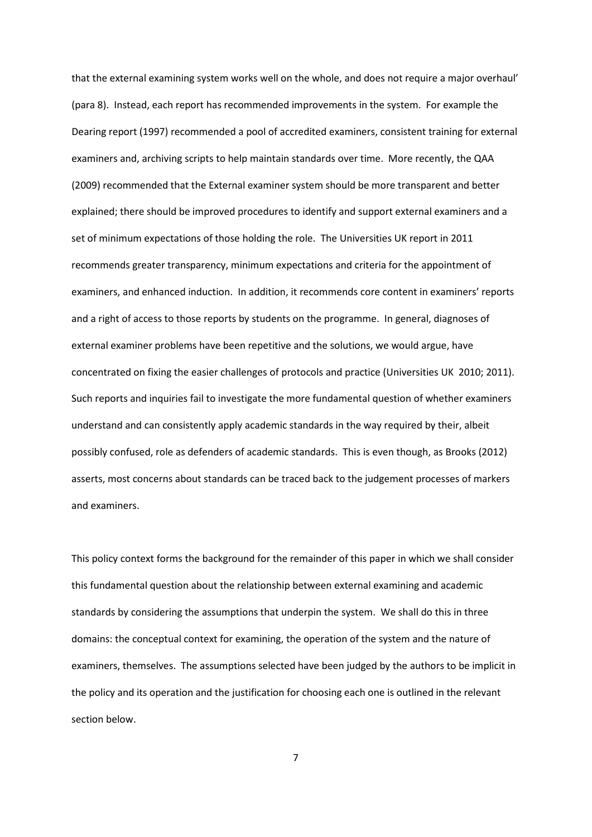that the external examining system works well on the whole, and does not require a major overhaul' (para 8). Instead, each report has recommended improvements in the system. For example the Dearing report (1997) recommended a pool of accredited examiners, consistent training for external examiners and, archiving scripts to help maintain standards over time. More recently, the QAA (2009) recommended that the External examiner system should be more transparent and better explained; there should be improved procedures to identify and support external examiners and a set of minimum expectations of those holding the role. The Universities UK report in 2011 recommends greater transparency, minimum expectations and criteria for the appointment of examiners, and enhanced induction. In addition, it recommends core content in examiners' reports and a right of access to those reports by students on the programme. In general, diagnoses of external examiner problems have been repetitive and the solutions, we would argue, have concentrated on fixing the easier challenges of protocols and practice (Universities UK 2010; 2011). Such reports and inquiries fail to investigate the more fundamental question of whether examiners understand and can consistently apply academic standards in the way required by their, albeit possibly confused, role as defenders of academic standards. This is even though, as Brooks (2012) asserts, most concerns about standards can be traced back to the judgement processes of markers and examiners.

This policy context forms the background for the remainder of this paper in which we shall consider this fundamental question about the relationship between external examining and academic standards by considering the assumptions that underpin the system. We shall do this in three domains: the conceptual context for examining, the operation of the system and the nature of examiners, themselves. The assumptions selected have been judged by the authors to be implicit in the policy and its operation and the justification for choosing each one is outlined in the relevant section below.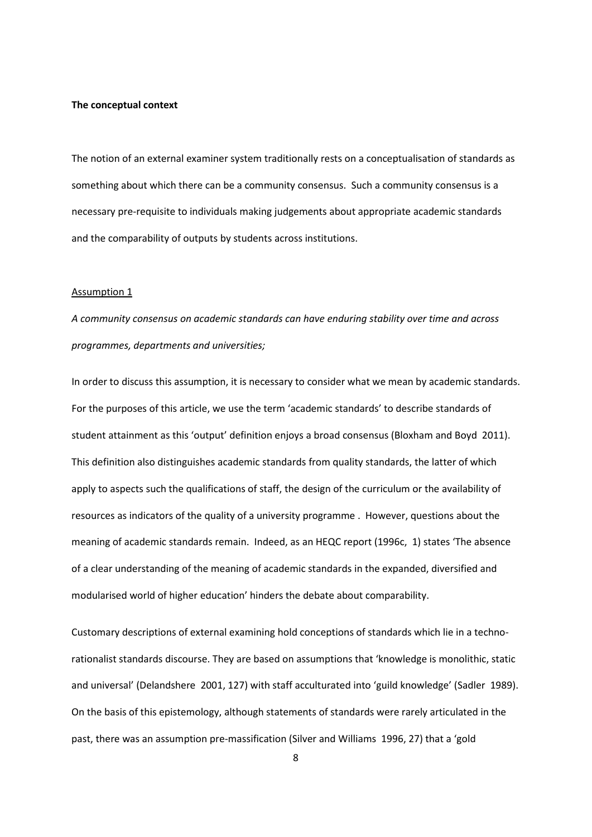#### **The conceptual context**

The notion of an external examiner system traditionally rests on a conceptualisation of standards as something about which there can be a community consensus. Such a community consensus is a necessary pre-requisite to individuals making judgements about appropriate academic standards and the comparability of outputs by students across institutions.

#### Assumption 1

*A community consensus on academic standards can have enduring stability over time and across programmes, departments and universities;* 

In order to discuss this assumption, it is necessary to consider what we mean by academic standards. For the purposes of this article, we use the term 'academic standards' to describe standards of student attainment as this 'output' definition enjoys a broad consensus (Bloxham and Boyd 2011). This definition also distinguishes academic standards from quality standards, the latter of which apply to aspects such the qualifications of staff, the design of the curriculum or the availability of resources as indicators of the quality of a university programme . However, questions about the meaning of academic standards remain. Indeed, as an HEQC report (1996c, 1) states 'The absence of a clear understanding of the meaning of academic standards in the expanded, diversified and modularised world of higher education' hinders the debate about comparability.

Customary descriptions of external examining hold conceptions of standards which lie in a technorationalist standards discourse. They are based on assumptions that 'knowledge is monolithic, static and universal' (Delandshere 2001, 127) with staff acculturated into 'guild knowledge' (Sadler 1989). On the basis of this epistemology, although statements of standards were rarely articulated in the past, there was an assumption pre-massification (Silver and Williams 1996, 27) that a 'gold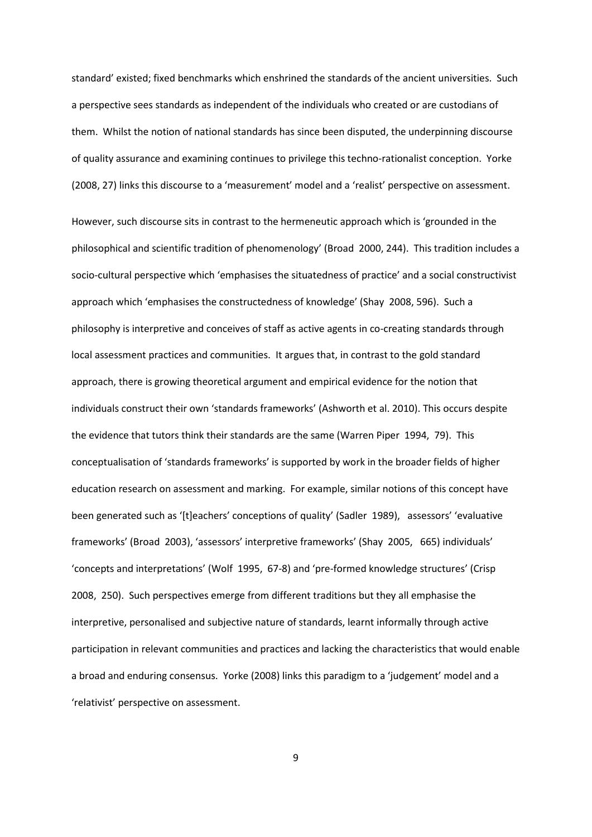standard' existed; fixed benchmarks which enshrined the standards of the ancient universities. Such a perspective sees standards as independent of the individuals who created or are custodians of them. Whilst the notion of national standards has since been disputed, the underpinning discourse of quality assurance and examining continues to privilege this techno-rationalist conception. Yorke (2008, 27) links this discourse to a 'measurement' model and a 'realist' perspective on assessment.

However, such discourse sits in contrast to the hermeneutic approach which is 'grounded in the philosophical and scientific tradition of phenomenology' (Broad 2000, 244). This tradition includes a socio-cultural perspective which 'emphasises the situatedness of practice' and a social constructivist approach which 'emphasises the constructedness of knowledge' (Shay 2008, 596). Such a philosophy is interpretive and conceives of staff as active agents in co-creating standards through local assessment practices and communities. It argues that, in contrast to the gold standard approach, there is growing theoretical argument and empirical evidence for the notion that individuals construct their own 'standards frameworks' (Ashworth et al. 2010). This occurs despite the evidence that tutors think their standards are the same (Warren Piper 1994, 79). This conceptualisation of 'standards frameworks' is supported by work in the broader fields of higher education research on assessment and marking. For example, similar notions of this concept have been generated such as '[t]eachers' conceptions of quality' (Sadler 1989), assessors' 'evaluative frameworks' (Broad 2003), 'assessors' interpretive frameworks' (Shay 2005, 665) individuals' 'concepts and interpretations' (Wolf 1995, 67-8) and 'pre-formed knowledge structures' (Crisp 2008, 250). Such perspectives emerge from different traditions but they all emphasise the interpretive, personalised and subjective nature of standards, learnt informally through active participation in relevant communities and practices and lacking the characteristics that would enable a broad and enduring consensus. Yorke (2008) links this paradigm to a 'judgement' model and a 'relativist' perspective on assessment.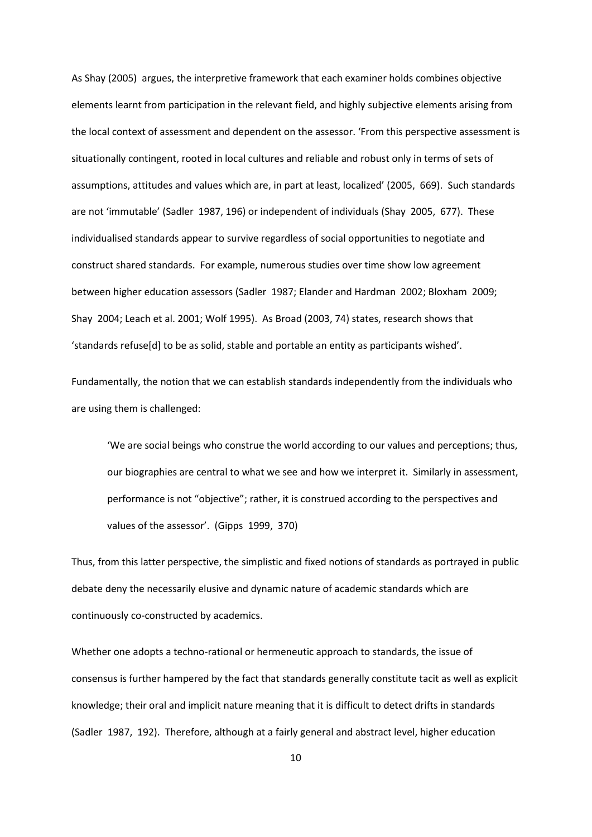As Shay (2005) argues, the interpretive framework that each examiner holds combines objective elements learnt from participation in the relevant field, and highly subjective elements arising from the local context of assessment and dependent on the assessor. 'From this perspective assessment is situationally contingent, rooted in local cultures and reliable and robust only in terms of sets of assumptions, attitudes and values which are, in part at least, localized' (2005, 669). Such standards are not 'immutable' (Sadler 1987, 196) or independent of individuals (Shay 2005, 677). These individualised standards appear to survive regardless of social opportunities to negotiate and construct shared standards. For example, numerous studies over time show low agreement between higher education assessors (Sadler 1987; Elander and Hardman 2002; Bloxham 2009; Shay 2004; Leach et al. 2001; Wolf 1995). As Broad (2003, 74) states, research shows that 'standards refuse[d] to be as solid, stable and portable an entity as participants wished'.

Fundamentally, the notion that we can establish standards independently from the individuals who are using them is challenged:

'We are social beings who construe the world according to our values and perceptions; thus, our biographies are central to what we see and how we interpret it. Similarly in assessment, performance is not "objective"; rather, it is construed according to the perspectives and values of the assessor'. (Gipps 1999, 370)

Thus, from this latter perspective, the simplistic and fixed notions of standards as portrayed in public debate deny the necessarily elusive and dynamic nature of academic standards which are continuously co-constructed by academics.

Whether one adopts a techno-rational or hermeneutic approach to standards, the issue of consensus is further hampered by the fact that standards generally constitute tacit as well as explicit knowledge; their oral and implicit nature meaning that it is difficult to detect drifts in standards (Sadler 1987, 192). Therefore, although at a fairly general and abstract level, higher education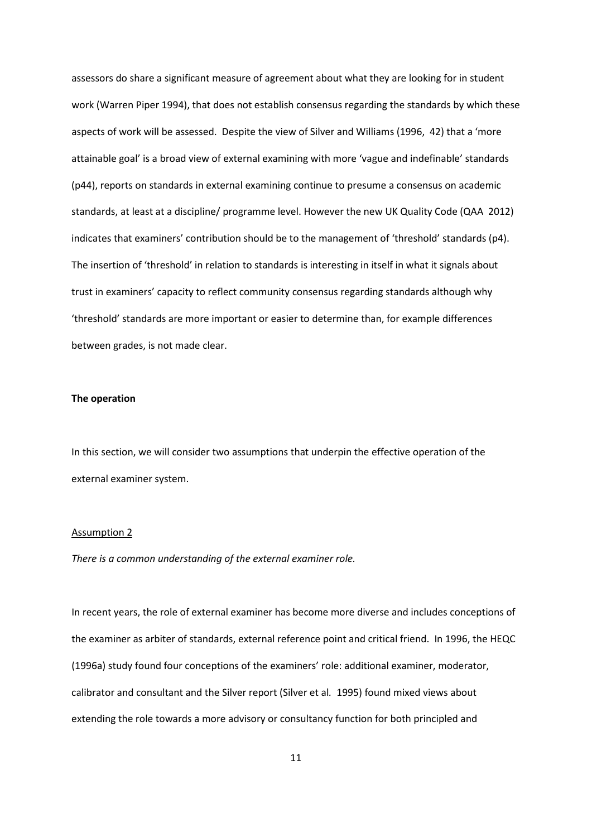assessors do share a significant measure of agreement about what they are looking for in student work (Warren Piper 1994), that does not establish consensus regarding the standards by which these aspects of work will be assessed. Despite the view of Silver and Williams (1996, 42) that a 'more attainable goal' is a broad view of external examining with more 'vague and indefinable' standards (p44), reports on standards in external examining continue to presume a consensus on academic standards, at least at a discipline/ programme level. However the new UK Quality Code (QAA 2012) indicates that examiners' contribution should be to the management of 'threshold' standards (p4). The insertion of 'threshold' in relation to standards is interesting in itself in what it signals about trust in examiners' capacity to reflect community consensus regarding standards although why 'threshold' standards are more important or easier to determine than, for example differences between grades, is not made clear.

## **The operation**

In this section, we will consider two assumptions that underpin the effective operation of the external examiner system.

#### Assumption 2

*There is a common understanding of the external examiner role.* 

In recent years, the role of external examiner has become more diverse and includes conceptions of the examiner as arbiter of standards, external reference point and critical friend. In 1996, the HEQC (1996a) study found four conceptions of the examiners' role: additional examiner, moderator, calibrator and consultant and the Silver report (Silver et al*.* 1995) found mixed views about extending the role towards a more advisory or consultancy function for both principled and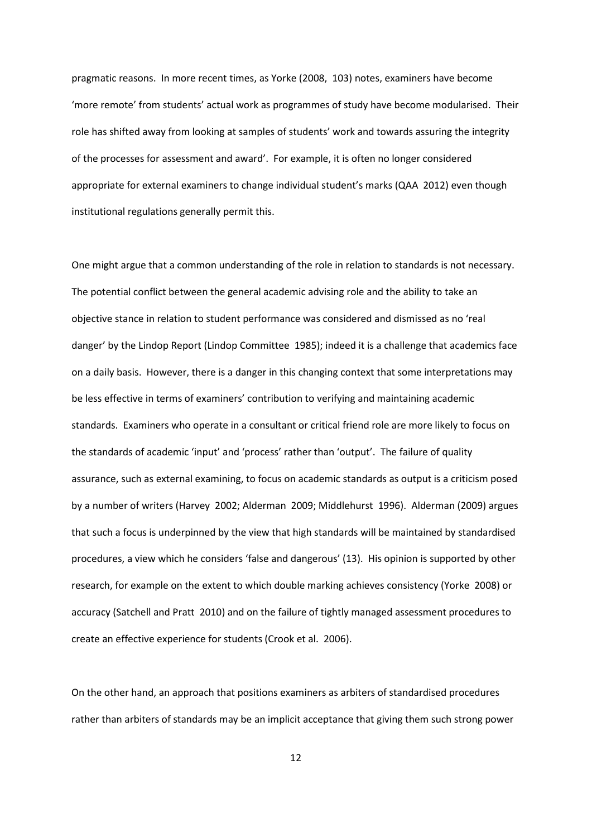pragmatic reasons. In more recent times, as Yorke (2008, 103) notes, examiners have become 'more remote' from students' actual work as programmes of study have become modularised. Their role has shifted away from looking at samples of students' work and towards assuring the integrity of the processes for assessment and award'. For example, it is often no longer considered appropriate for external examiners to change individual student's marks (QAA 2012) even though institutional regulations generally permit this.

One might argue that a common understanding of the role in relation to standards is not necessary. The potential conflict between the general academic advising role and the ability to take an objective stance in relation to student performance was considered and dismissed as no 'real danger' by the Lindop Report (Lindop Committee 1985); indeed it is a challenge that academics face on a daily basis. However, there is a danger in this changing context that some interpretations may be less effective in terms of examiners' contribution to verifying and maintaining academic standards. Examiners who operate in a consultant or critical friend role are more likely to focus on the standards of academic 'input' and 'process' rather than 'output'. The failure of quality assurance, such as external examining, to focus on academic standards as output is a criticism posed by a number of writers (Harvey 2002; Alderman 2009; Middlehurst 1996). Alderman (2009) argues that such a focus is underpinned by the view that high standards will be maintained by standardised procedures, a view which he considers 'false and dangerous' (13). His opinion is supported by other research, for example on the extent to which double marking achieves consistency (Yorke 2008) or accuracy (Satchell and Pratt 2010) and on the failure of tightly managed assessment procedures to create an effective experience for students (Crook et al. 2006).

On the other hand, an approach that positions examiners as arbiters of standardised procedures rather than arbiters of standards may be an implicit acceptance that giving them such strong power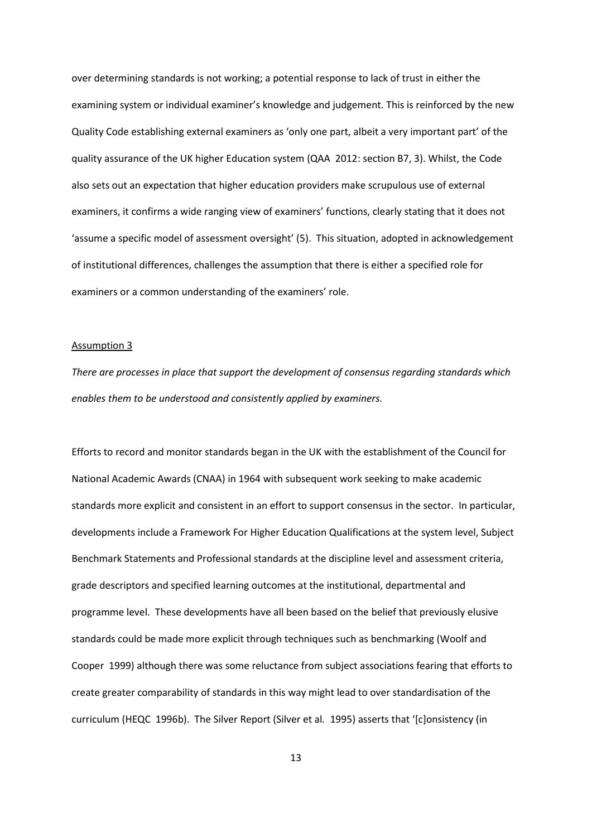over determining standards is not working; a potential response to lack of trust in either the examining system or individual examiner's knowledge and judgement. This is reinforced by the new Quality Code establishing external examiners as 'only one part, albeit a very important part' of the quality assurance of the UK higher Education system (QAA 2012: section B7, 3). Whilst, the Code also sets out an expectation that higher education providers make scrupulous use of external examiners, it confirms a wide ranging view of examiners' functions, clearly stating that it does not 'assume a specific model of assessment oversight' (5). This situation, adopted in acknowledgement of institutional differences, challenges the assumption that there is either a specified role for examiners or a common understanding of the examiners' role.

#### Assumption 3

*There are processes in place that support the development of consensus regarding standards which enables them to be understood and consistently applied by examiners.*

Efforts to record and monitor standards began in the UK with the establishment of the Council for National Academic Awards (CNAA) in 1964 with subsequent work seeking to make academic standards more explicit and consistent in an effort to support consensus in the sector. In particular, developments include a Framework For Higher Education Qualifications at the system level, Subject Benchmark Statements and Professional standards at the discipline level and assessment criteria, grade descriptors and specified learning outcomes at the institutional, departmental and programme level. These developments have all been based on the belief that previously elusive standards could be made more explicit through techniques such as benchmarking (Woolf and Cooper 1999) although there was some reluctance from subject associations fearing that efforts to create greater comparability of standards in this way might lead to over standardisation of the curriculum (HEQC 1996b). The Silver Report (Silver et al*.* 1995) asserts that '[c]onsistency (in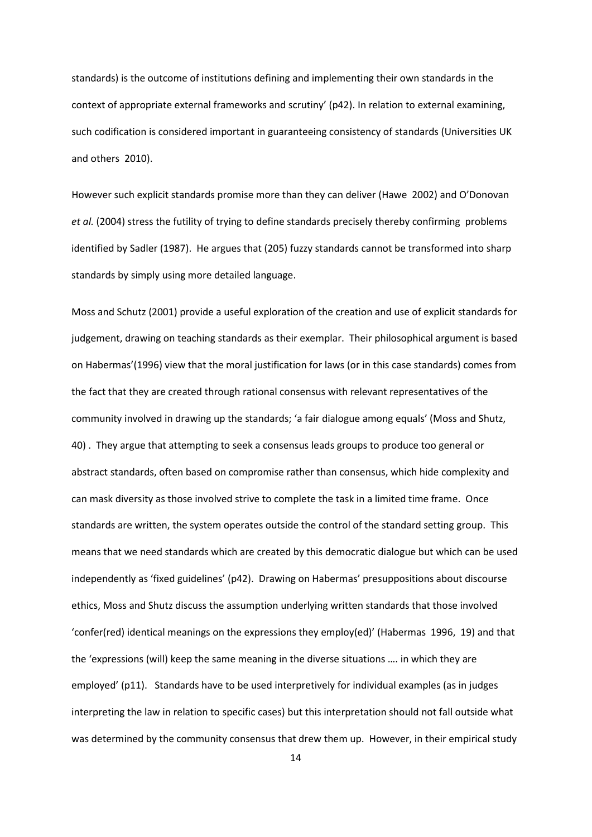standards) is the outcome of institutions defining and implementing their own standards in the context of appropriate external frameworks and scrutiny' (p42). In relation to external examining, such codification is considered important in guaranteeing consistency of standards (Universities UK and others 2010).

However such explicit standards promise more than they can deliver (Hawe 2002) and O'Donovan *et al.* (2004) stress the futility of trying to define standards precisely thereby confirming problems identified by Sadler (1987). He argues that (205) fuzzy standards cannot be transformed into sharp standards by simply using more detailed language.

Moss and Schutz (2001) provide a useful exploration of the creation and use of explicit standards for judgement, drawing on teaching standards as their exemplar. Their philosophical argument is based on Habermas'(1996) view that the moral justification for laws (or in this case standards) comes from the fact that they are created through rational consensus with relevant representatives of the community involved in drawing up the standards; 'a fair dialogue among equals' (Moss and Shutz, 40) . They argue that attempting to seek a consensus leads groups to produce too general or abstract standards, often based on compromise rather than consensus, which hide complexity and can mask diversity as those involved strive to complete the task in a limited time frame. Once standards are written, the system operates outside the control of the standard setting group. This means that we need standards which are created by this democratic dialogue but which can be used independently as 'fixed guidelines' (p42). Drawing on Habermas' presuppositions about discourse ethics, Moss and Shutz discuss the assumption underlying written standards that those involved 'confer(red) identical meanings on the expressions they employ(ed)' (Habermas 1996, 19) and that the 'expressions (will) keep the same meaning in the diverse situations …. in which they are employed' (p11). Standards have to be used interpretively for individual examples (as in judges interpreting the law in relation to specific cases) but this interpretation should not fall outside what was determined by the community consensus that drew them up. However, in their empirical study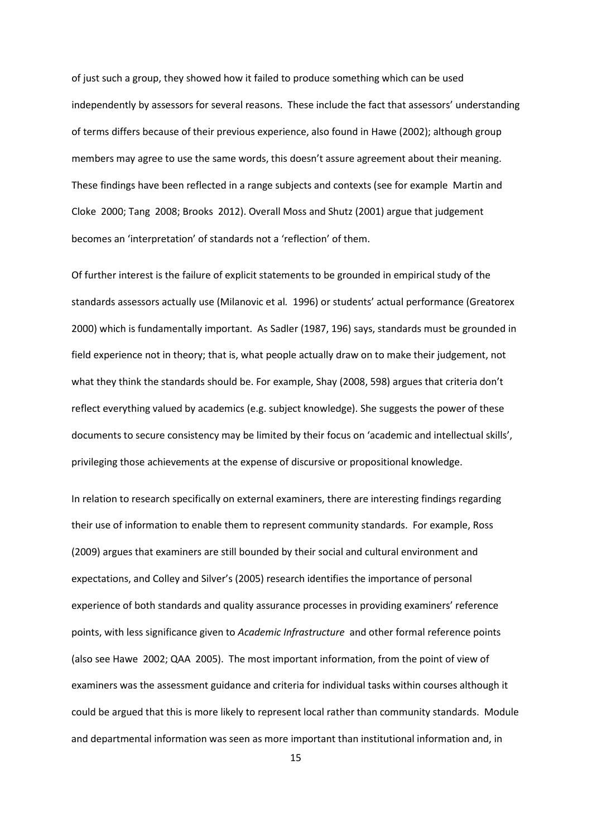of just such a group, they showed how it failed to produce something which can be used independently by assessors for several reasons. These include the fact that assessors' understanding of terms differs because of their previous experience, also found in Hawe (2002); although group members may agree to use the same words, this doesn't assure agreement about their meaning. These findings have been reflected in a range subjects and contexts (see for example Martin and Cloke 2000; Tang 2008; Brooks 2012). Overall Moss and Shutz (2001) argue that judgement becomes an 'interpretation' of standards not a 'reflection' of them.

Of further interest is the failure of explicit statements to be grounded in empirical study of the standards assessors actually use (Milanovic et al*.* 1996) or students' actual performance (Greatorex 2000) which is fundamentally important. As Sadler (1987, 196) says, standards must be grounded in field experience not in theory; that is, what people actually draw on to make their judgement, not what they think the standards should be. For example, Shay (2008, 598) argues that criteria don't reflect everything valued by academics (e.g. subject knowledge). She suggests the power of these documents to secure consistency may be limited by their focus on 'academic and intellectual skills', privileging those achievements at the expense of discursive or propositional knowledge.

In relation to research specifically on external examiners, there are interesting findings regarding their use of information to enable them to represent community standards. For example, Ross (2009) argues that examiners are still bounded by their social and cultural environment and expectations, and Colley and Silver's (2005) research identifies the importance of personal experience of both standards and quality assurance processes in providing examiners' reference points, with less significance given to *Academic Infrastructure* and other formal reference points (also see Hawe 2002; QAA 2005). The most important information, from the point of view of examiners was the assessment guidance and criteria for individual tasks within courses although it could be argued that this is more likely to represent local rather than community standards. Module and departmental information was seen as more important than institutional information and, in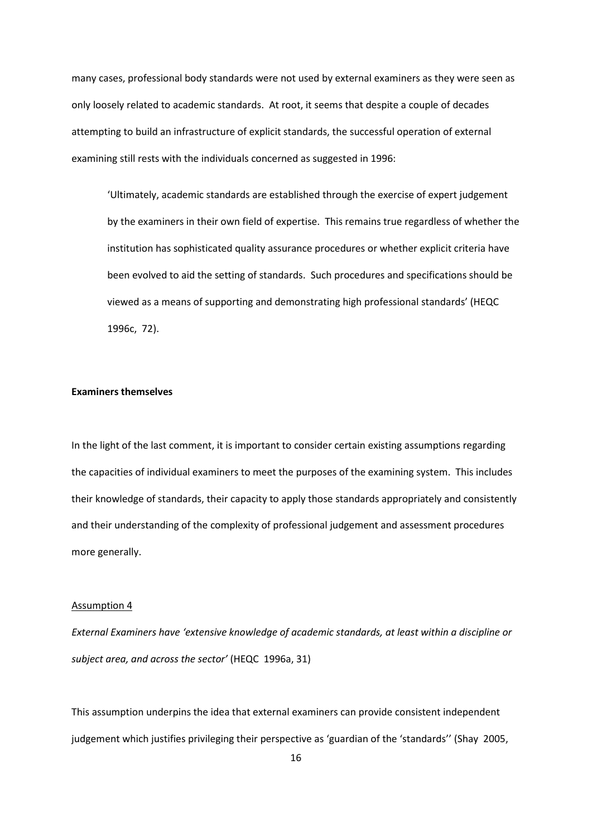many cases, professional body standards were not used by external examiners as they were seen as only loosely related to academic standards. At root, it seems that despite a couple of decades attempting to build an infrastructure of explicit standards, the successful operation of external examining still rests with the individuals concerned as suggested in 1996:

'Ultimately, academic standards are established through the exercise of expert judgement by the examiners in their own field of expertise. This remains true regardless of whether the institution has sophisticated quality assurance procedures or whether explicit criteria have been evolved to aid the setting of standards. Such procedures and specifications should be viewed as a means of supporting and demonstrating high professional standards' (HEQC 1996c, 72).

# **Examiners themselves**

In the light of the last comment, it is important to consider certain existing assumptions regarding the capacities of individual examiners to meet the purposes of the examining system. This includes their knowledge of standards, their capacity to apply those standards appropriately and consistently and their understanding of the complexity of professional judgement and assessment procedures more generally.

# Assumption 4

*External Examiners have 'extensive knowledge of academic standards, at least within a discipline or subject area, and across the sector'* (HEQC 1996a, 31)

This assumption underpins the idea that external examiners can provide consistent independent judgement which justifies privileging their perspective as 'guardian of the 'standards'' (Shay 2005,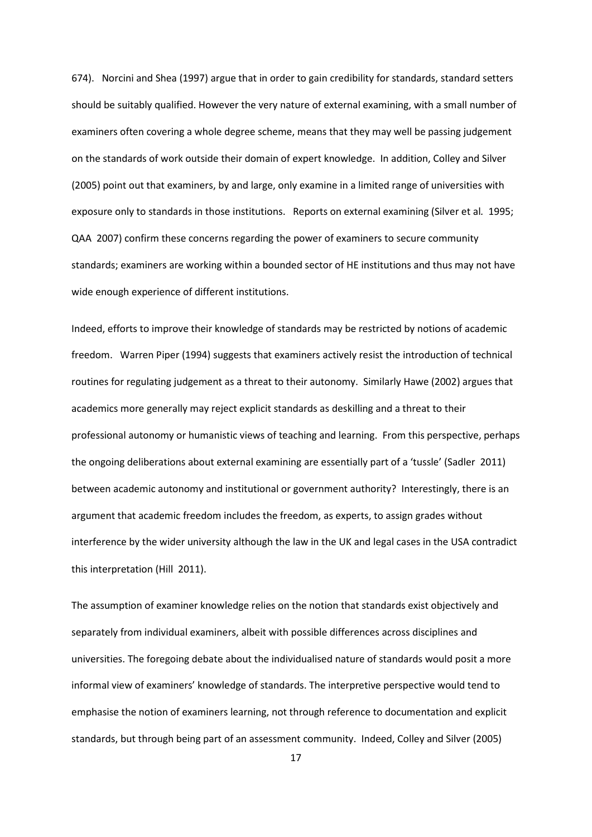674). Norcini and Shea (1997) argue that in order to gain credibility for standards, standard setters should be suitably qualified. However the very nature of external examining, with a small number of examiners often covering a whole degree scheme, means that they may well be passing judgement on the standards of work outside their domain of expert knowledge. In addition, Colley and Silver (2005) point out that examiners, by and large, only examine in a limited range of universities with exposure only to standards in those institutions. Reports on external examining (Silver et al*.* 1995; QAA 2007) confirm these concerns regarding the power of examiners to secure community standards; examiners are working within a bounded sector of HE institutions and thus may not have wide enough experience of different institutions.

Indeed, efforts to improve their knowledge of standards may be restricted by notions of academic freedom. Warren Piper (1994) suggests that examiners actively resist the introduction of technical routines for regulating judgement as a threat to their autonomy. Similarly Hawe (2002) argues that academics more generally may reject explicit standards as deskilling and a threat to their professional autonomy or humanistic views of teaching and learning. From this perspective, perhaps the ongoing deliberations about external examining are essentially part of a 'tussle' (Sadler 2011) between academic autonomy and institutional or government authority? Interestingly, there is an argument that academic freedom includes the freedom, as experts, to assign grades without interference by the wider university although the law in the UK and legal cases in the USA contradict this interpretation (Hill 2011).

The assumption of examiner knowledge relies on the notion that standards exist objectively and separately from individual examiners, albeit with possible differences across disciplines and universities. The foregoing debate about the individualised nature of standards would posit a more informal view of examiners' knowledge of standards. The interpretive perspective would tend to emphasise the notion of examiners learning, not through reference to documentation and explicit standards, but through being part of an assessment community. Indeed, Colley and Silver (2005)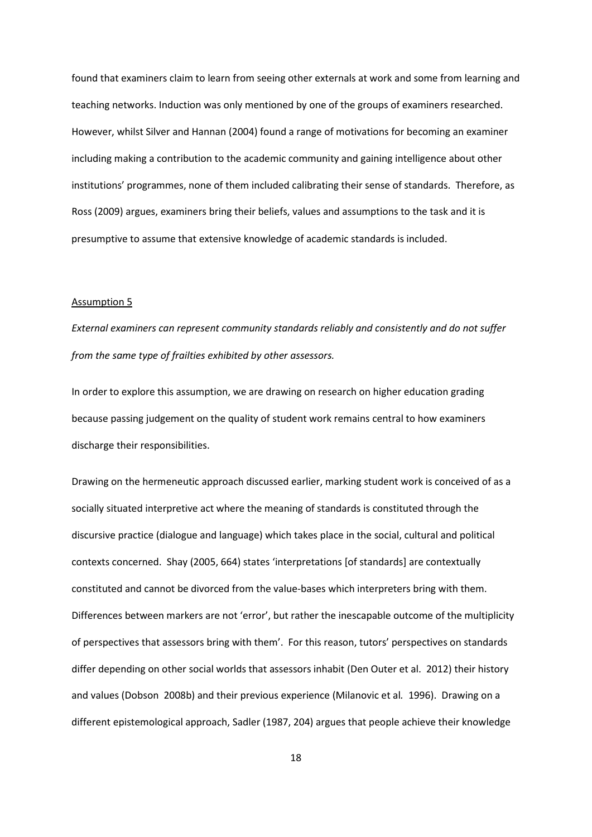found that examiners claim to learn from seeing other externals at work and some from learning and teaching networks. Induction was only mentioned by one of the groups of examiners researched. However, whilst Silver and Hannan (2004) found a range of motivations for becoming an examiner including making a contribution to the academic community and gaining intelligence about other institutions' programmes, none of them included calibrating their sense of standards. Therefore, as Ross (2009) argues, examiners bring their beliefs, values and assumptions to the task and it is presumptive to assume that extensive knowledge of academic standards is included.

# Assumption 5

*External examiners can represent community standards reliably and consistently and do not suffer from the same type of frailties exhibited by other assessors.*

In order to explore this assumption, we are drawing on research on higher education grading because passing judgement on the quality of student work remains central to how examiners discharge their responsibilities.

Drawing on the hermeneutic approach discussed earlier, marking student work is conceived of as a socially situated interpretive act where the meaning of standards is constituted through the discursive practice (dialogue and language) which takes place in the social, cultural and political contexts concerned. Shay (2005, 664) states 'interpretations [of standards] are contextually constituted and cannot be divorced from the value-bases which interpreters bring with them. Differences between markers are not 'error', but rather the inescapable outcome of the multiplicity of perspectives that assessors bring with them'. For this reason, tutors' perspectives on standards differ depending on other social worlds that assessors inhabit (Den Outer et al. 2012) their history and values (Dobson 2008b) and their previous experience (Milanovic et al*.* 1996). Drawing on a different epistemological approach, Sadler (1987, 204) argues that people achieve their knowledge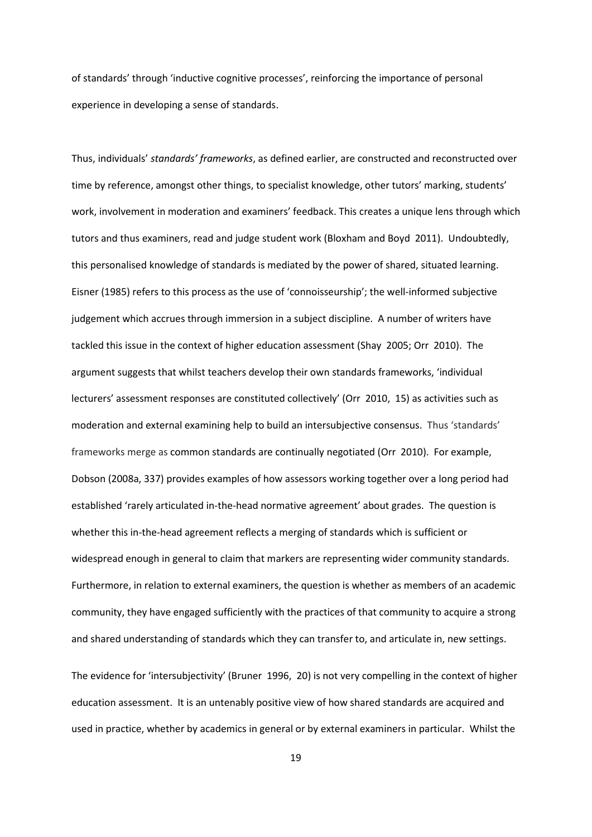of standards' through 'inductive cognitive processes', reinforcing the importance of personal experience in developing a sense of standards.

Thus, individuals' *standards' frameworks*, as defined earlier, are constructed and reconstructed over time by reference, amongst other things, to specialist knowledge, other tutors' marking, students' work, involvement in moderation and examiners' feedback. This creates a unique lens through which tutors and thus examiners, read and judge student work (Bloxham and Boyd 2011). Undoubtedly, this personalised knowledge of standards is mediated by the power of shared, situated learning. Eisner (1985) refers to this process as the use of 'connoisseurship'; the well-informed subjective judgement which accrues through immersion in a subject discipline. A number of writers have tackled this issue in the context of higher education assessment (Shay 2005; Orr 2010). The argument suggests that whilst teachers develop their own standards frameworks, 'individual lecturers' assessment responses are constituted collectively' (Orr 2010, 15) as activities such as moderation and external examining help to build an intersubjective consensus. Thus 'standards' frameworks merge as common standards are continually negotiated (Orr 2010). For example, Dobson (2008a, 337) provides examples of how assessors working together over a long period had established 'rarely articulated in-the-head normative agreement' about grades. The question is whether this in-the-head agreement reflects a merging of standards which is sufficient or widespread enough in general to claim that markers are representing wider community standards. Furthermore, in relation to external examiners, the question is whether as members of an academic community, they have engaged sufficiently with the practices of that community to acquire a strong and shared understanding of standards which they can transfer to, and articulate in, new settings.

The evidence for 'intersubjectivity' (Bruner 1996, 20) is not very compelling in the context of higher education assessment. It is an untenably positive view of how shared standards are acquired and used in practice, whether by academics in general or by external examiners in particular. Whilst the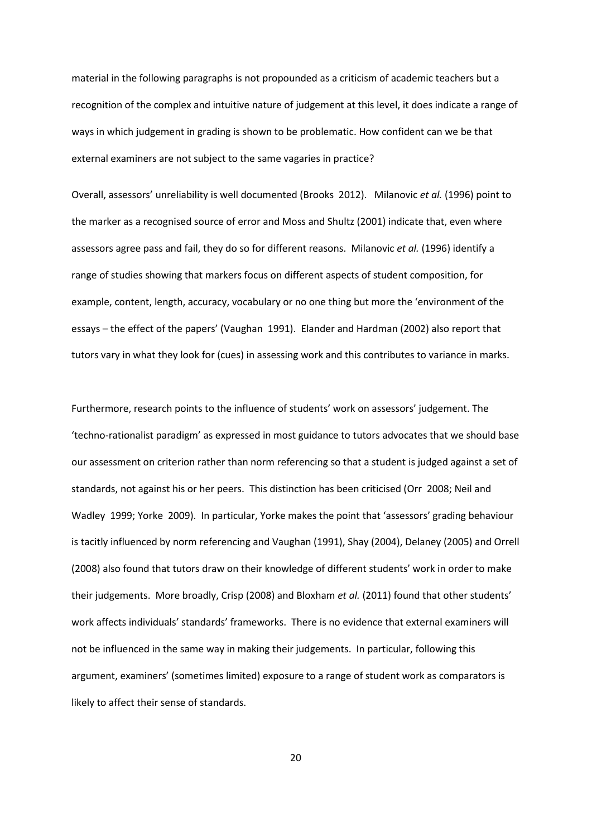material in the following paragraphs is not propounded as a criticism of academic teachers but a recognition of the complex and intuitive nature of judgement at this level, it does indicate a range of ways in which judgement in grading is shown to be problematic. How confident can we be that external examiners are not subject to the same vagaries in practice?

Overall, assessors' unreliability is well documented (Brooks 2012). Milanovic *et al.* (1996) point to the marker as a recognised source of error and Moss and Shultz (2001) indicate that, even where assessors agree pass and fail, they do so for different reasons. Milanovic *et al.* (1996) identify a range of studies showing that markers focus on different aspects of student composition, for example, content, length, accuracy, vocabulary or no one thing but more the 'environment of the essays – the effect of the papers' (Vaughan 1991). Elander and Hardman (2002) also report that tutors vary in what they look for (cues) in assessing work and this contributes to variance in marks.

Furthermore, research points to the influence of students' work on assessors' judgement. The 'techno-rationalist paradigm' as expressed in most guidance to tutors advocates that we should base our assessment on criterion rather than norm referencing so that a student is judged against a set of standards, not against his or her peers. This distinction has been criticised (Orr 2008; Neil and Wadley 1999; Yorke 2009). In particular, Yorke makes the point that 'assessors' grading behaviour is tacitly influenced by norm referencing and Vaughan (1991), Shay (2004), Delaney (2005) and Orrell (2008) also found that tutors draw on their knowledge of different students' work in order to make their judgements. More broadly, Crisp (2008) and Bloxham *et al.* (2011) found that other students' work affects individuals' standards' frameworks. There is no evidence that external examiners will not be influenced in the same way in making their judgements. In particular, following this argument, examiners' (sometimes limited) exposure to a range of student work as comparators is likely to affect their sense of standards.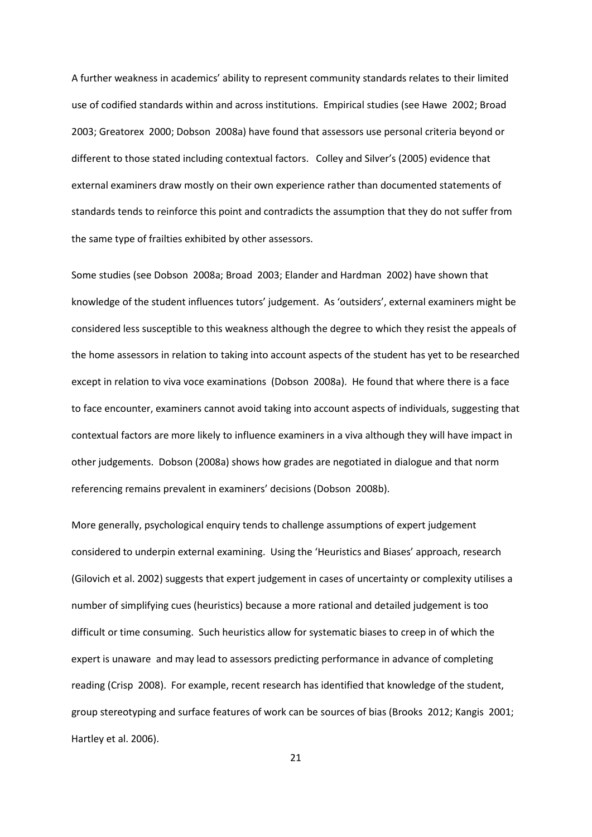A further weakness in academics' ability to represent community standards relates to their limited use of codified standards within and across institutions. Empirical studies (see Hawe 2002; Broad 2003; Greatorex 2000; Dobson 2008a) have found that assessors use personal criteria beyond or different to those stated including contextual factors. Colley and Silver's (2005) evidence that external examiners draw mostly on their own experience rather than documented statements of standards tends to reinforce this point and contradicts the assumption that they do not suffer from the same type of frailties exhibited by other assessors.

Some studies (see Dobson 2008a; Broad 2003; Elander and Hardman 2002) have shown that knowledge of the student influences tutors' judgement. As 'outsiders', external examiners might be considered less susceptible to this weakness although the degree to which they resist the appeals of the home assessors in relation to taking into account aspects of the student has yet to be researched except in relation to viva voce examinations (Dobson 2008a). He found that where there is a face to face encounter, examiners cannot avoid taking into account aspects of individuals, suggesting that contextual factors are more likely to influence examiners in a viva although they will have impact in other judgements. Dobson (2008a) shows how grades are negotiated in dialogue and that norm referencing remains prevalent in examiners' decisions (Dobson 2008b).

More generally, psychological enquiry tends to challenge assumptions of expert judgement considered to underpin external examining. Using the 'Heuristics and Biases' approach, research (Gilovich et al. 2002) suggests that expert judgement in cases of uncertainty or complexity utilises a number of simplifying cues (heuristics) because a more rational and detailed judgement is too difficult or time consuming. Such heuristics allow for systematic biases to creep in of which the expert is unaware and may lead to assessors predicting performance in advance of completing reading (Crisp 2008). For example, recent research has identified that knowledge of the student, group stereotyping and surface features of work can be sources of bias (Brooks 2012; Kangis 2001; Hartley et al. 2006).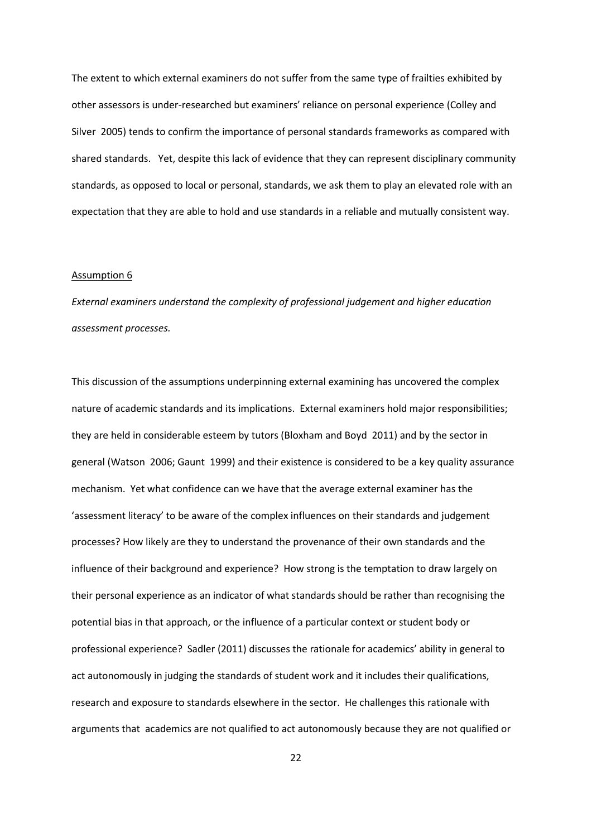The extent to which external examiners do not suffer from the same type of frailties exhibited by other assessors is under-researched but examiners' reliance on personal experience (Colley and Silver 2005) tends to confirm the importance of personal standards frameworks as compared with shared standards. Yet, despite this lack of evidence that they can represent disciplinary community standards, as opposed to local or personal, standards, we ask them to play an elevated role with an expectation that they are able to hold and use standards in a reliable and mutually consistent way.

#### Assumption 6

*External examiners understand the complexity of professional judgement and higher education assessment processes.*

This discussion of the assumptions underpinning external examining has uncovered the complex nature of academic standards and its implications. External examiners hold major responsibilities; they are held in considerable esteem by tutors (Bloxham and Boyd 2011) and by the sector in general (Watson 2006; Gaunt 1999) and their existence is considered to be a key quality assurance mechanism. Yet what confidence can we have that the average external examiner has the 'assessment literacy' to be aware of the complex influences on their standards and judgement processes? How likely are they to understand the provenance of their own standards and the influence of their background and experience? How strong is the temptation to draw largely on their personal experience as an indicator of what standards should be rather than recognising the potential bias in that approach, or the influence of a particular context or student body or professional experience? Sadler (2011) discusses the rationale for academics' ability in general to act autonomously in judging the standards of student work and it includes their qualifications, research and exposure to standards elsewhere in the sector. He challenges this rationale with arguments that academics are not qualified to act autonomously because they are not qualified or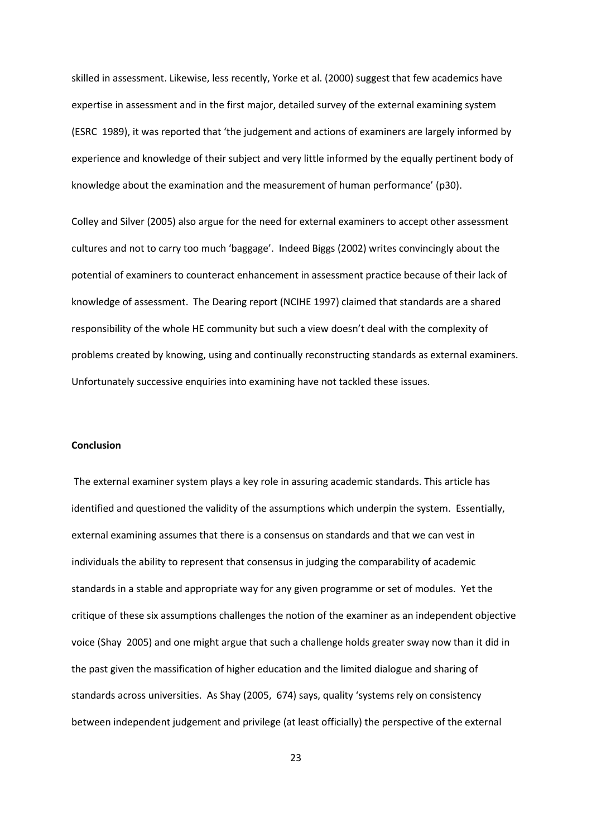skilled in assessment. Likewise, less recently, Yorke et al. (2000) suggest that few academics have expertise in assessment and in the first major, detailed survey of the external examining system (ESRC 1989), it was reported that 'the judgement and actions of examiners are largely informed by experience and knowledge of their subject and very little informed by the equally pertinent body of knowledge about the examination and the measurement of human performance' (p30).

Colley and Silver (2005) also argue for the need for external examiners to accept other assessment cultures and not to carry too much 'baggage'. Indeed Biggs (2002) writes convincingly about the potential of examiners to counteract enhancement in assessment practice because of their lack of knowledge of assessment. The Dearing report (NCIHE 1997) claimed that standards are a shared responsibility of the whole HE community but such a view doesn't deal with the complexity of problems created by knowing, using and continually reconstructing standards as external examiners. Unfortunately successive enquiries into examining have not tackled these issues.

# **Conclusion**

The external examiner system plays a key role in assuring academic standards. This article has identified and questioned the validity of the assumptions which underpin the system. Essentially, external examining assumes that there is a consensus on standards and that we can vest in individuals the ability to represent that consensus in judging the comparability of academic standards in a stable and appropriate way for any given programme or set of modules. Yet the critique of these six assumptions challenges the notion of the examiner as an independent objective voice (Shay 2005) and one might argue that such a challenge holds greater sway now than it did in the past given the massification of higher education and the limited dialogue and sharing of standards across universities. As Shay (2005, 674) says, quality 'systems rely on consistency between independent judgement and privilege (at least officially) the perspective of the external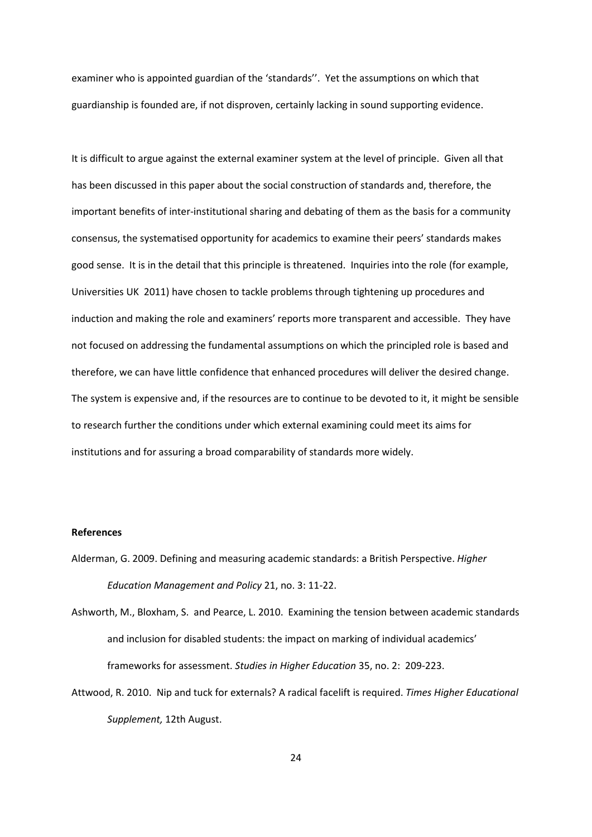examiner who is appointed guardian of the 'standards''. Yet the assumptions on which that guardianship is founded are, if not disproven, certainly lacking in sound supporting evidence.

It is difficult to argue against the external examiner system at the level of principle. Given all that has been discussed in this paper about the social construction of standards and, therefore, the important benefits of inter-institutional sharing and debating of them as the basis for a community consensus, the systematised opportunity for academics to examine their peers' standards makes good sense. It is in the detail that this principle is threatened. Inquiries into the role (for example, Universities UK 2011) have chosen to tackle problems through tightening up procedures and induction and making the role and examiners' reports more transparent and accessible. They have not focused on addressing the fundamental assumptions on which the principled role is based and therefore, we can have little confidence that enhanced procedures will deliver the desired change. The system is expensive and, if the resources are to continue to be devoted to it, it might be sensible to research further the conditions under which external examining could meet its aims for institutions and for assuring a broad comparability of standards more widely.

#### **References**

- Alderman, G. 2009. Defining and measuring academic standards: a British Perspective. *Higher Education Management and Policy* 21, no. 3: 11-22.
- Ashworth, M., Bloxham, S. and Pearce, L. 2010. Examining the tension between academic standards and inclusion for disabled students: the impact on marking of individual academics' frameworks for assessment. *Studies in Higher Education* 35, no. 2: 209-223.
- Attwood, R. 2010. Nip and tuck for externals? A radical facelift is required. *Times Higher Educational Supplement,* 12th August.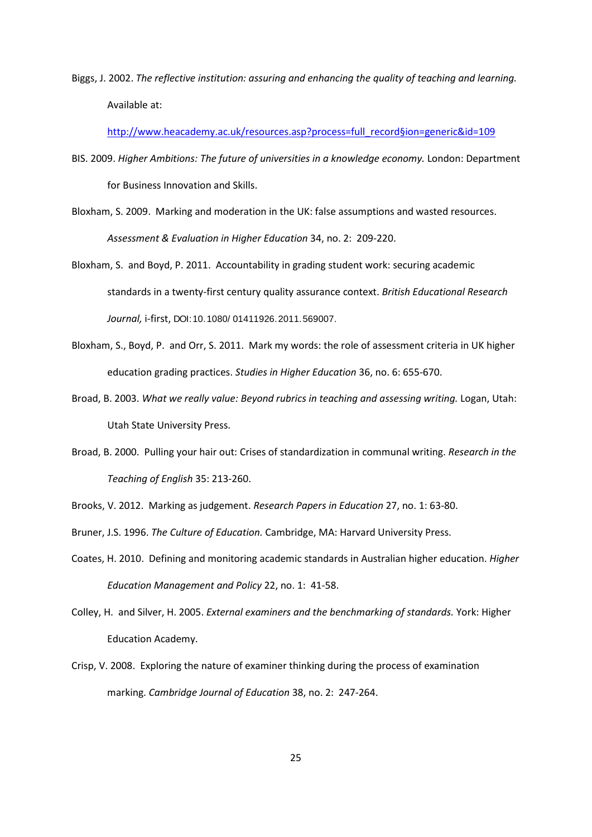Biggs, J. 2002. *The reflective institution: assuring and enhancing the quality of teaching and learning.*  Available at:

[http://www.heacademy.ac.uk/resources.asp?process=full\\_record§ion=generic&id=109](http://www.heacademy.ac.uk/resources.asp?process=full_record%C3%82%C2%A7ion=generic&id=109) 

- BIS. 2009. *Higher Ambitions: The future of universities in a knowledge economy.* London: Department for Business Innovation and Skills.
- Bloxham, S. 2009. Marking and moderation in the UK: false assumptions and wasted resources. *Assessment & Evaluation in Higher Education* 34, no. 2: 209-220.
- Bloxham, S. and Boyd, P. 2011. Accountability in grading student work: securing academic standards in a twenty-first century quality assurance context. *British Educational Research Journal,* i-first, DOI:10.1080/ 01411926.2011.569007.
- Bloxham, S., Boyd, P. and Orr, S. 2011. Mark my words: the role of assessment criteria in UK higher education grading practices. *Studies in Higher Education* 36, no. 6: 655-670.
- Broad, B. 2003. *What we really value: Beyond rubrics in teaching and assessing writing.* Logan, Utah: Utah State University Press.
- Broad, B. 2000. Pulling your hair out: Crises of standardization in communal writing. *Research in the Teaching of English* 35: 213-260.
- Brooks, V. 2012. Marking as judgement. *Research Papers in Education* 27, no. 1: 63-80.
- Bruner, J.S. 1996. *The Culture of Education.* Cambridge, MA: Harvard University Press.
- Coates, H. 2010. Defining and monitoring academic standards in Australian higher education. *Higher Education Management and Policy* 22, no. 1: 41-58.
- Colley, H. and Silver, H. 2005. *External examiners and the benchmarking of standards.* York: Higher Education Academy.
- Crisp, V. 2008. Exploring the nature of examiner thinking during the process of examination marking. *Cambridge Journal of Education* 38, no. 2: 247-264.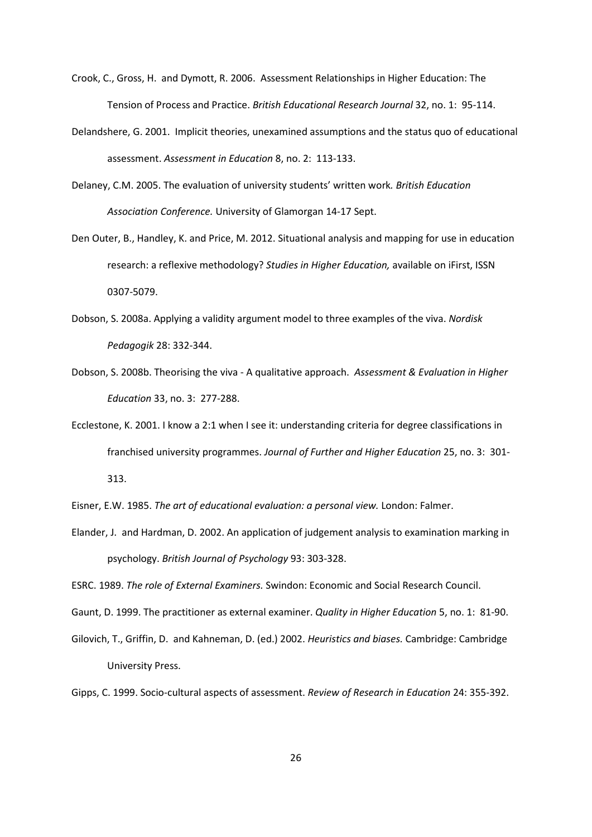- Crook, C., Gross, H. and Dymott, R. 2006. Assessment Relationships in Higher Education: The Tension of Process and Practice. *British Educational Research Journal* 32, no. 1: 95-114.
- Delandshere, G. 2001. Implicit theories, unexamined assumptions and the status quo of educational assessment. *Assessment in Education* 8, no. 2: 113-133.
- Delaney, C.M. 2005. The evaluation of university students' written work*. British Education Association Conference.* University of Glamorgan 14-17 Sept.
- Den Outer, B., Handley, K. and Price, M. 2012. Situational analysis and mapping for use in education research: a reflexive methodology? *Studies in Higher Education,* available on iFirst, ISSN 0307-5079.
- Dobson, S. 2008a. Applying a validity argument model to three examples of the viva. *Nordisk Pedagogik* 28: 332-344.
- Dobson, S. 2008b. Theorising the viva A qualitative approach. *Assessment & Evaluation in Higher Education* 33, no. 3: 277-288.
- Ecclestone, K. 2001. I know a 2:1 when I see it: understanding criteria for degree classifications in franchised university programmes. *Journal of Further and Higher Education* 25, no. 3: 301- 313.

Eisner, E.W. 1985. *The art of educational evaluation: a personal view.* London: Falmer.

Elander, J. and Hardman, D. 2002. An application of judgement analysis to examination marking in psychology. *British Journal of Psychology* 93: 303-328.

ESRC. 1989. *The role of External Examiners.* Swindon: Economic and Social Research Council.

Gaunt, D. 1999. The practitioner as external examiner. *Quality in Higher Education* 5, no. 1: 81-90.

Gilovich, T., Griffin, D. and Kahneman, D. (ed.) 2002. *Heuristics and biases.* Cambridge: Cambridge University Press.

Gipps, C. 1999. Socio-cultural aspects of assessment. *Review of Research in Education* 24: 355-392.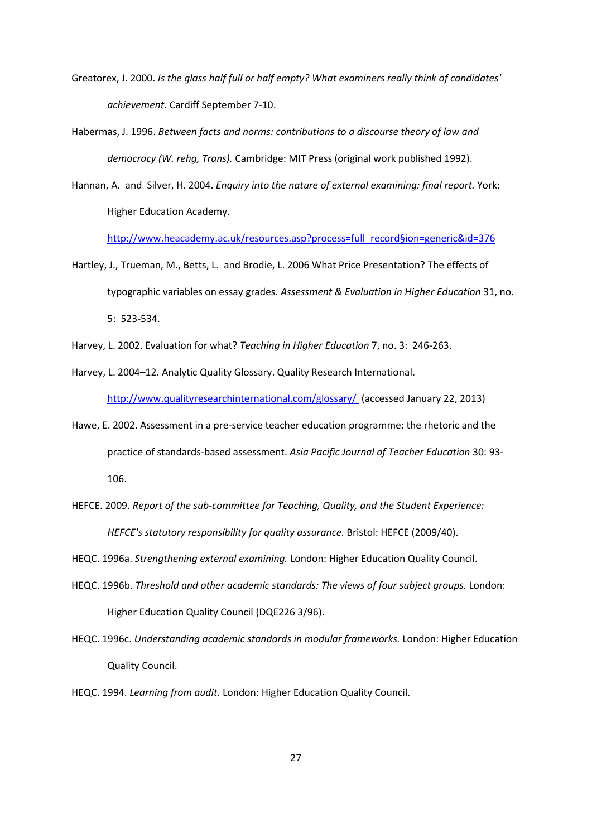- Greatorex, J. 2000. *Is the glass half full or half empty? What examiners really think of candidates' achievement.* Cardiff September 7-10.
- Habermas, J. 1996. *Between facts and norms: contributions to a discourse theory of law and democracy (W. rehg, Trans).* Cambridge: MIT Press (original work published 1992).
- Hannan, A. and Silver, H. 2004. *Enquiry into the nature of external examining: final report.* York: Higher Education Academy.

[http://www.heacademy.ac.uk/resources.asp?process=full\\_record§ion=generic&id=376](http://www.heacademy.ac.uk/resources.asp?process=full_record%C3%82%C2%A7ion=generic&id=376) 

- Hartley, J., Trueman, M., Betts, L. and Brodie, L. 2006 What Price Presentation? The effects of typographic variables on essay grades. *Assessment & Evaluation in Higher Education* 31, no. 5: 523-534.
- Harvey, L. 2002. Evaluation for what? *Teaching in Higher Education* 7, no. 3: 246-263.
- Harvey, L. 2004–12. Analytic Quality Glossary. Quality Research International.

<http://www.qualityresearchinternational.com/glossary/> (accessed January 22, 2013)

- Hawe, E. 2002. Assessment in a pre-service teacher education programme: the rhetoric and the practice of standards-based assessment. *Asia Pacific Journal of Teacher Education* 30: 93- 106.
- HEFCE. 2009. *Report of the sub-committee for Teaching, Quality, and the Student Experience: HEFCE's statutory responsibility for quality assurance.* Bristol: HEFCE (2009/40).
- HEQC. 1996a. *Strengthening external examining.* London: Higher Education Quality Council.
- HEQC. 1996b. *Threshold and other academic standards: The views of four subject groups.* London: Higher Education Quality Council (DQE226 3/96).
- HEQC. 1996c. *Understanding academic standards in modular frameworks.* London: Higher Education Quality Council.
- HEQC. 1994. *Learning from audit.* London: Higher Education Quality Council.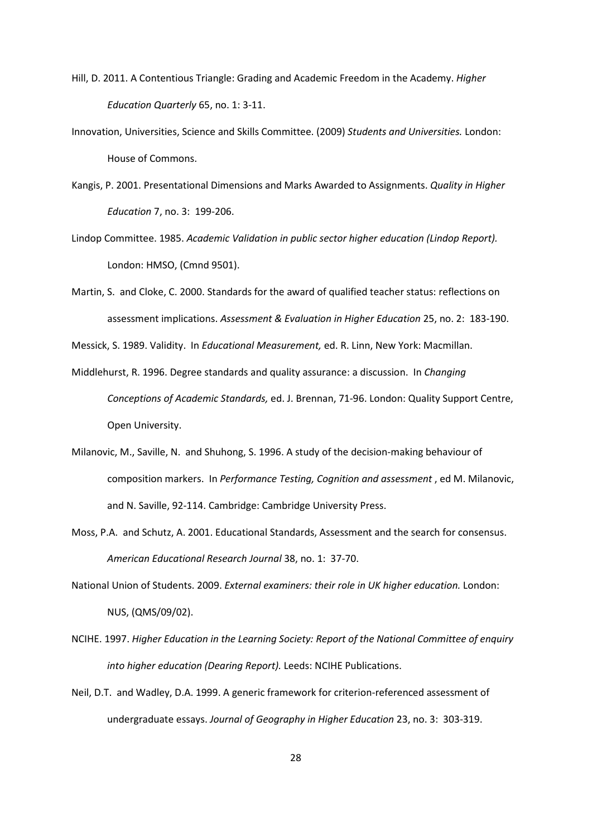- Hill, D. 2011. A Contentious Triangle: Grading and Academic Freedom in the Academy. *Higher Education Quarterly* 65, no. 1: 3-11.
- Innovation, Universities, Science and Skills Committee. (2009) *Students and Universities.* London: House of Commons.
- Kangis, P. 2001. Presentational Dimensions and Marks Awarded to Assignments. *Quality in Higher Education* 7, no. 3: 199-206.
- Lindop Committee. 1985. *Academic Validation in public sector higher education (Lindop Report).* London: HMSO, (Cmnd 9501).
- Martin, S. and Cloke, C. 2000. Standards for the award of qualified teacher status: reflections on assessment implications. *Assessment & Evaluation in Higher Education* 25, no. 2: 183-190.

Messick, S. 1989. Validity. In *Educational Measurement,* ed. R. Linn, New York: Macmillan.

- Middlehurst, R. 1996. Degree standards and quality assurance: a discussion. In *Changing Conceptions of Academic Standards,* ed. J. Brennan, 71-96. London: Quality Support Centre, Open University.
- Milanovic, M., Saville, N. and Shuhong, S. 1996. A study of the decision-making behaviour of composition markers. In *Performance Testing, Cognition and assessment* , ed M. Milanovic, and N. Saville, 92-114. Cambridge: Cambridge University Press.
- Moss, P.A. and Schutz, A. 2001. Educational Standards, Assessment and the search for consensus. *American Educational Research Journal* 38, no. 1: 37-70.
- National Union of Students. 2009. *External examiners: their role in UK higher education.* London: NUS, (QMS/09/02).
- NCIHE. 1997. *Higher Education in the Learning Society: Report of the National Committee of enquiry into higher education (Dearing Report).* Leeds: NCIHE Publications.
- Neil, D.T. and Wadley, D.A. 1999. A generic framework for criterion-referenced assessment of undergraduate essays. *Journal of Geography in Higher Education* 23, no. 3: 303-319.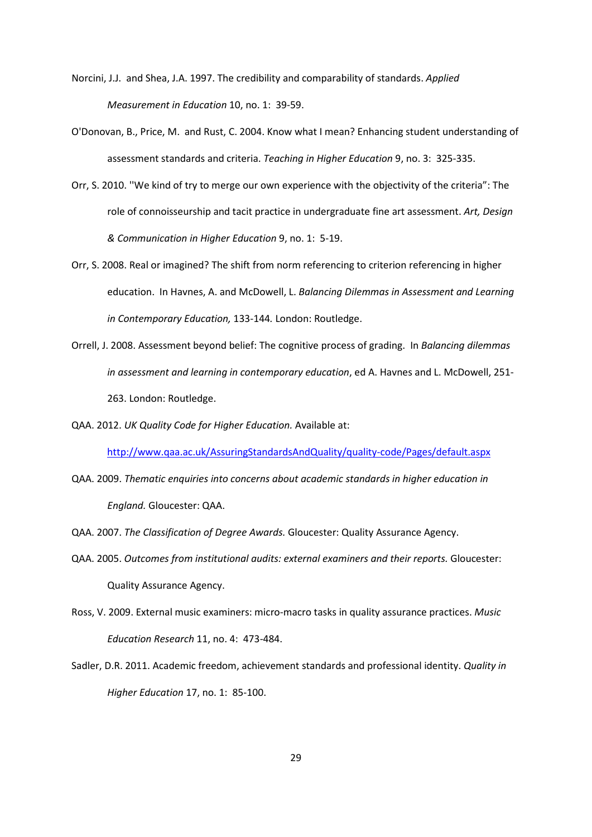- Norcini, J.J. and Shea, J.A. 1997. The credibility and comparability of standards. *Applied Measurement in Education* 10, no. 1: 39-59.
- O'Donovan, B., Price, M. and Rust, C. 2004. Know what I mean? Enhancing student understanding of assessment standards and criteria. *Teaching in Higher Education* 9, no. 3: 325-335.
- Orr, S. 2010. ''We kind of try to merge our own experience with the objectivity of the criteria": The role of connoisseurship and tacit practice in undergraduate fine art assessment. *Art, Design & Communication in Higher Education* 9, no. 1: 5-19.
- Orr, S. 2008. Real or imagined? The shift from norm referencing to criterion referencing in higher education. In Havnes, A. and McDowell, L. *Balancing Dilemmas in Assessment and Learning in Contemporary Education,* 133-144*.* London: Routledge.
- Orrell, J. 2008. Assessment beyond belief: The cognitive process of grading. In *Balancing dilemmas in assessment and learning in contemporary education*, ed A. Havnes and L. McDowell, 251- 263. London: Routledge.
- QAA. 2012. *UK Quality Code for Higher Education.* Available at:

<http://www.qaa.ac.uk/AssuringStandardsAndQuality/quality-code/Pages/default.aspx>

- QAA. 2009. *Thematic enquiries into concerns about academic standards in higher education in England.* Gloucester: QAA.
- QAA. 2007. *The Classification of Degree Awards.* Gloucester: Quality Assurance Agency.
- QAA. 2005. *Outcomes from institutional audits: external examiners and their reports.* Gloucester: Quality Assurance Agency.
- Ross, V. 2009. External music examiners: micro-macro tasks in quality assurance practices. *Music Education Research* 11, no. 4: 473-484.
- Sadler, D.R. 2011. Academic freedom, achievement standards and professional identity. *Quality in Higher Education* 17, no. 1: 85-100.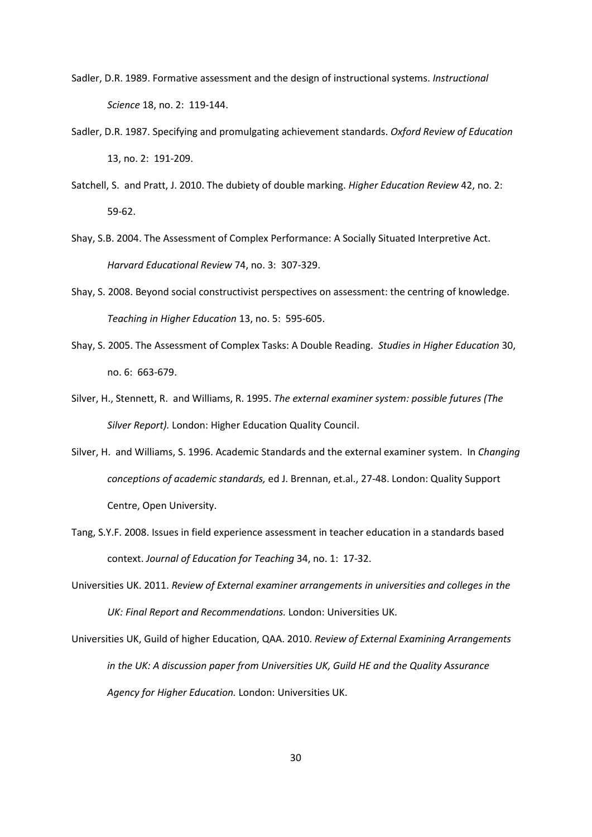- Sadler, D.R. 1989. Formative assessment and the design of instructional systems. *Instructional Science* 18, no. 2: 119-144.
- Sadler, D.R. 1987. Specifying and promulgating achievement standards. *Oxford Review of Education* 13, no. 2: 191-209.
- Satchell, S. and Pratt, J. 2010. The dubiety of double marking. *Higher Education Review* 42, no. 2: 59-62.
- Shay, S.B. 2004. The Assessment of Complex Performance: A Socially Situated Interpretive Act. *Harvard Educational Review* 74, no. 3: 307-329.
- Shay, S. 2008. Beyond social constructivist perspectives on assessment: the centring of knowledge. *Teaching in Higher Education* 13, no. 5: 595-605.
- Shay, S. 2005. The Assessment of Complex Tasks: A Double Reading. *Studies in Higher Education* 30, no. 6: 663-679.
- Silver, H., Stennett, R. and Williams, R. 1995. *The external examiner system: possible futures (The Silver Report).* London: Higher Education Quality Council.
- Silver, H. and Williams, S. 1996. Academic Standards and the external examiner system. In *Changing conceptions of academic standards,* ed J. Brennan, et.al., 27-48. London: Quality Support Centre, Open University.
- Tang, S.Y.F. 2008. Issues in field experience assessment in teacher education in a standards based context. *Journal of Education for Teaching* 34, no. 1: 17-32.
- Universities UK. 2011. *Review of External examiner arrangements in universities and colleges in the UK: Final Report and Recommendations.* London: Universities UK.
- Universities UK, Guild of higher Education, QAA. 2010. *Review of External Examining Arrangements in the UK: A discussion paper from Universities UK, Guild HE and the Quality Assurance Agency for Higher Education.* London: Universities UK.